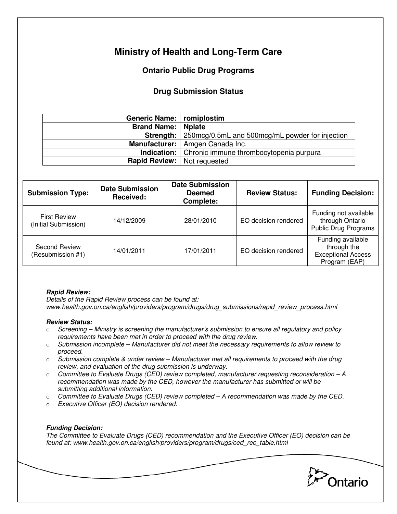# **Ministry of Health and Long-Term Care**

## **Ontario Public Drug Programs**

### **Drug Submission Status**

| Generic Name:   romiplostim          |                                                                    |  |  |
|--------------------------------------|--------------------------------------------------------------------|--|--|
| <b>Brand Name:   Nplate</b>          |                                                                    |  |  |
|                                      | <b>Strength:</b>   250mcg/0.5mL and 500mcg/mL powder for injection |  |  |
|                                      | Manufacturer:   Amgen Canada Inc.                                  |  |  |
|                                      | Indication:   Chronic immune thrombocytopenia purpura              |  |  |
| <b>Rapid Review:</b>   Not requested |                                                                    |  |  |

| <b>Submission Type:</b>                     | <b>Date Submission</b><br><b>Received:</b> | <b>Date Submission</b><br><b>Deemed</b><br><b>Complete:</b> | <b>Review Status:</b> | <b>Funding Decision:</b>                                                       |
|---------------------------------------------|--------------------------------------------|-------------------------------------------------------------|-----------------------|--------------------------------------------------------------------------------|
| <b>First Review</b><br>(Initial Submission) | 14/12/2009                                 | 28/01/2010                                                  | EO decision rendered  | Funding not available<br>through Ontario<br><b>Public Drug Programs</b>        |
| Second Review<br>(Resubmission #1)          | 14/01/2011                                 | 17/01/2011                                                  | EO decision rendered  | Funding available<br>through the<br><b>Exceptional Access</b><br>Program (EAP) |

### **Rapid Review:**

Details of the Rapid Review process can be found at: www.health.gov.on.ca/english/providers/program/drugs/drug\_submissions/rapid\_review\_process.html

#### **Review Status:**

- $\circ$  Screening Ministry is screening the manufacturer's submission to ensure all regulatory and policy requirements have been met in order to proceed with the drug review.
- $\circ$  Submission incomplete Manufacturer did not meet the necessary requirements to allow review to proceed.
- $\circ$  Submission complete & under review Manufacturer met all requirements to proceed with the drug review, and evaluation of the drug submission is underway.
- $\circ$  Committee to Evaluate Drugs (CED) review completed, manufacturer requesting reconsideration  $-A$ recommendation was made by the CED, however the manufacturer has submitted or will be submitting additional information.
- $\circ$  Committee to Evaluate Drugs (CED) review completed  $-A$  recommendation was made by the CED.
- o Executive Officer (EO) decision rendered.

### **Funding Decision:**

The Committee to Evaluate Drugs (CED) recommendation and the Executive Officer (EO) decision can be found at: www.health.gov.on.ca/english/providers/program/drugs/ced\_rec\_table.html